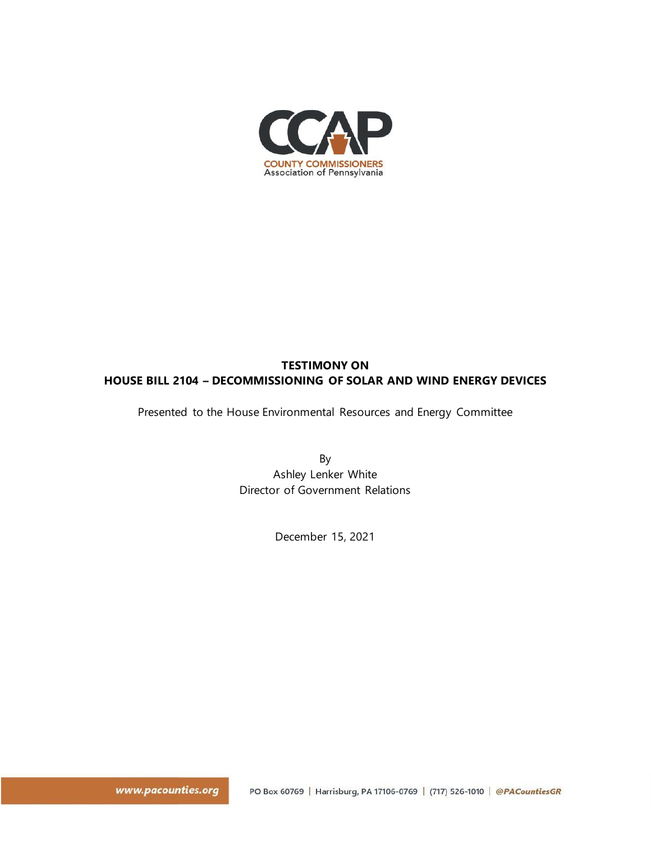

# **TESTIMONY ON HOUSE BILL 2104 – DECOMMISSIONING OF SOLAR AND WIND ENERGY DEVICES**

Presented to the House Environmental Resources and Energy Committee

By Ashley Lenker White Director of Government Relations

December 15, 2021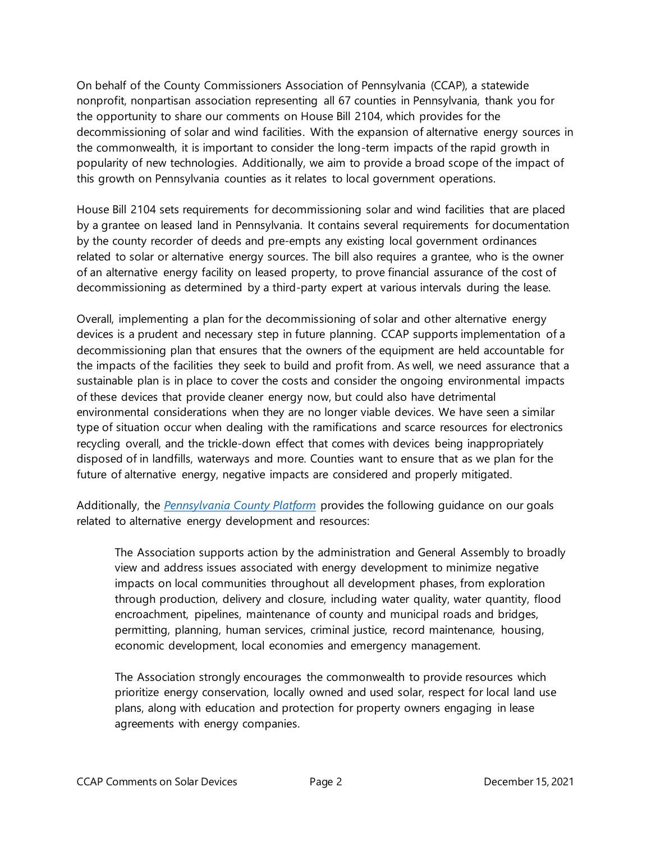On behalf of the County Commissioners Association of Pennsylvania (CCAP), a statewide nonprofit, nonpartisan association representing all 67 counties in Pennsylvania, thank you for the opportunity to share our comments on House Bill 2104, which provides for the decommissioning of solar and wind facilities. With the expansion of alternative energy sources in the commonwealth, it is important to consider the long-term impacts of the rapid growth in popularity of new technologies. Additionally, we aim to provide a broad scope of the impact of this growth on Pennsylvania counties as it relates to local government operations.

House Bill 2104 sets requirements for decommissioning solar and wind facilities that are placed by a grantee on leased land in Pennsylvania. It contains several requirements for documentation by the county recorder of deeds and pre-empts any existing local government ordinances related to solar or alternative energy sources. The bill also requires a grantee, who is the owner of an alternative energy facility on leased property, to prove financial assurance of the cost of decommissioning as determined by a third-party expert at various intervals during the lease.

Overall, implementing a plan for the decommissioning of solar and other alternative energy devices is a prudent and necessary step in future planning. CCAP supports implementation of a decommissioning plan that ensures that the owners of the equipment are held accountable for the impacts of the facilities they seek to build and profit from. As well, we need assurance that a sustainable plan is in place to cover the costs and consider the ongoing environmental impacts of these devices that provide cleaner energy now, but could also have detrimental environmental considerations when they are no longer viable devices. We have seen a similar type of situation occur when dealing with the ramifications and scarce resources for electronics recycling overall, and the trickle-down effect that comes with devices being inappropriately disposed of in landfills, waterways and more. Counties want to ensure that as we plan for the future of alternative energy, negative impacts are considered and properly mitigated.

Additionally, the *[Pennsylvania County Platform](https://pacounties.org/getmedia/b3cce798-1d95-43f7-a852-f0b57ef18658/Platform20210823(Aug2021).pdf)* provides the following guidance on our goals related to alternative energy development and resources:

The Association supports action by the administration and General Assembly to broadly view and address issues associated with energy development to minimize negative impacts on local communities throughout all development phases, from exploration through production, delivery and closure, including water quality, water quantity, flood encroachment, pipelines, maintenance of county and municipal roads and bridges, permitting, planning, human services, criminal justice, record maintenance, housing, economic development, local economies and emergency management.

The Association strongly encourages the commonwealth to provide resources which prioritize energy conservation, locally owned and used solar, respect for local land use plans, along with education and protection for property owners engaging in lease agreements with energy companies.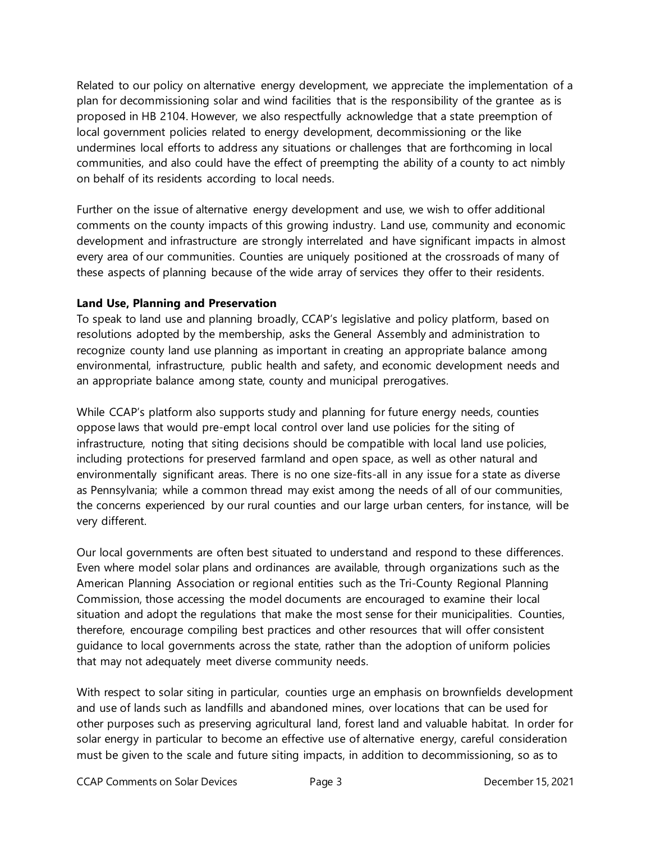Related to our policy on alternative energy development, we appreciate the implementation of a plan for decommissioning solar and wind facilities that is the responsibility of the grantee as is proposed in HB 2104. However, we also respectfully acknowledge that a state preemption of local government policies related to energy development, decommissioning or the like undermines local efforts to address any situations or challenges that are forthcoming in local communities, and also could have the effect of preempting the ability of a county to act nimbly on behalf of its residents according to local needs.

Further on the issue of alternative energy development and use, we wish to offer additional comments on the county impacts of this growing industry. Land use, community and economic development and infrastructure are strongly interrelated and have significant impacts in almost every area of our communities. Counties are uniquely positioned at the crossroads of many of these aspects of planning because of the wide array of services they offer to their residents.

### **Land Use, Planning and Preservation**

To speak to land use and planning broadly, CCAP's legislative and policy platform, based on resolutions adopted by the membership, asks the General Assembly and administration to recognize county land use planning as important in creating an appropriate balance among environmental, infrastructure, public health and safety, and economic development needs and an appropriate balance among state, county and municipal prerogatives.

While CCAP's platform also supports study and planning for future energy needs, counties oppose laws that would pre-empt local control over land use policies for the siting of infrastructure, noting that siting decisions should be compatible with local land use policies, including protections for preserved farmland and open space, as well as other natural and environmentally significant areas. There is no one size-fits-all in any issue for a state as diverse as Pennsylvania; while a common thread may exist among the needs of all of our communities, the concerns experienced by our rural counties and our large urban centers, for instance, will be very different.

Our local governments are often best situated to understand and respond to these differences. Even where model solar plans and ordinances are available, through organizations such as the American Planning Association or regional entities such as the Tri-County Regional Planning Commission, those accessing the model documents are encouraged to examine their local situation and adopt the regulations that make the most sense for their municipalities. Counties, therefore, encourage compiling best practices and other resources that will offer consistent guidance to local governments across the state, rather than the adoption of uniform policies that may not adequately meet diverse community needs.

With respect to solar siting in particular, counties urge an emphasis on brownfields development and use of lands such as landfills and abandoned mines, over locations that can be used for other purposes such as preserving agricultural land, forest land and valuable habitat. In order for solar energy in particular to become an effective use of alternative energy, careful consideration must be given to the scale and future siting impacts, in addition to decommissioning, so as to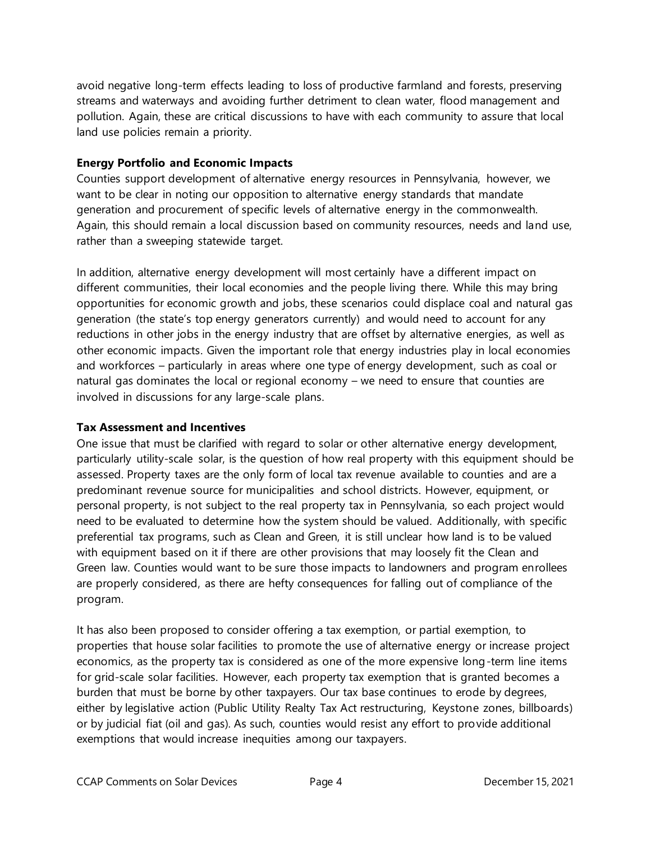avoid negative long-term effects leading to loss of productive farmland and forests, preserving streams and waterways and avoiding further detriment to clean water, flood management and pollution. Again, these are critical discussions to have with each community to assure that local land use policies remain a priority.

## **Energy Portfolio and Economic Impacts**

Counties support development of alternative energy resources in Pennsylvania, however, we want to be clear in noting our opposition to alternative energy standards that mandate generation and procurement of specific levels of alternative energy in the commonwealth. Again, this should remain a local discussion based on community resources, needs and land use, rather than a sweeping statewide target.

In addition, alternative energy development will most certainly have a different impact on different communities, their local economies and the people living there. While this may bring opportunities for economic growth and jobs, these scenarios could displace coal and natural gas generation (the state's top energy generators currently) and would need to account for any reductions in other jobs in the energy industry that are offset by alternative energies, as well as other economic impacts. Given the important role that energy industries play in local economies and workforces – particularly in areas where one type of energy development, such as coal or natural gas dominates the local or regional economy – we need to ensure that counties are involved in discussions for any large-scale plans.

### **Tax Assessment and Incentives**

One issue that must be clarified with regard to solar or other alternative energy development, particularly utility-scale solar, is the question of how real property with this equipment should be assessed. Property taxes are the only form of local tax revenue available to counties and are a predominant revenue source for municipalities and school districts. However, equipment, or personal property, is not subject to the real property tax in Pennsylvania, so each project would need to be evaluated to determine how the system should be valued. Additionally, with specific preferential tax programs, such as Clean and Green, it is still unclear how land is to be valued with equipment based on it if there are other provisions that may loosely fit the Clean and Green law. Counties would want to be sure those impacts to landowners and program enrollees are properly considered, as there are hefty consequences for falling out of compliance of the program.

It has also been proposed to consider offering a tax exemption, or partial exemption, to properties that house solar facilities to promote the use of alternative energy or increase project economics, as the property tax is considered as one of the more expensive long-term line items for grid-scale solar facilities. However, each property tax exemption that is granted becomes a burden that must be borne by other taxpayers. Our tax base continues to erode by degrees, either by legislative action (Public Utility Realty Tax Act restructuring, Keystone zones, billboards) or by judicial fiat (oil and gas). As such, counties would resist any effort to provide additional exemptions that would increase inequities among our taxpayers.